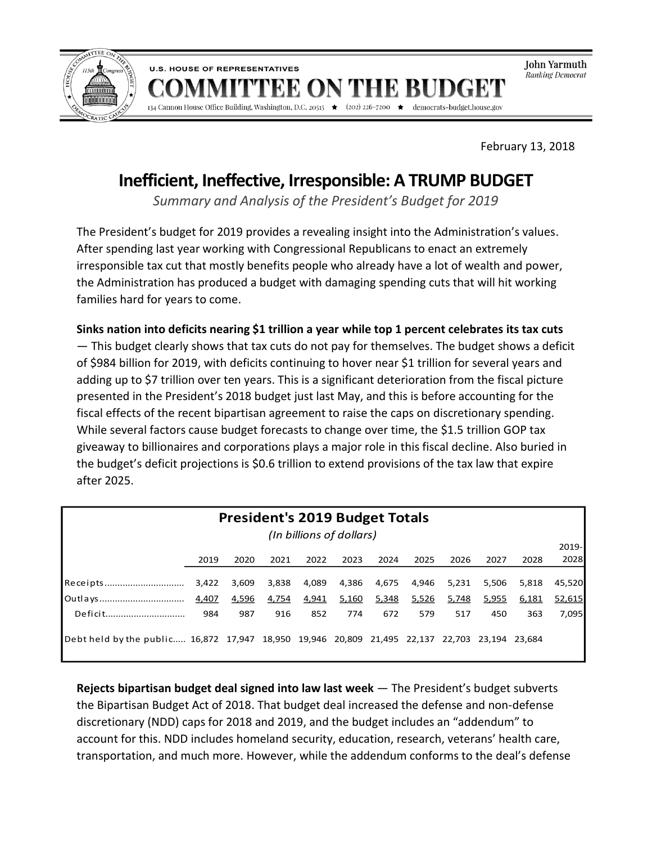

John Yarmuth .<br>Ranking Democrat

February 13, 2018

democrats-budget.house.gov

# **Inefficient, Ineffective, Irresponsible: A TRUMP BUDGET**

ON

'EE

134 Cannon House Office Building, Washington, D.C. 20515  $\star$  (202) 226-7200  $\star$ 

**U.S. HOUSE OF REPRESENTATIVES** 

*Summary and Analysis of the President's Budget for 2019*

The President's budget for 2019 provides a revealing insight into the Administration's values. After spending last year working with Congressional Republicans to enact an extremely irresponsible tax cut that mostly benefits people who already have a lot of wealth and power, the Administration has produced a budget with damaging spending cuts that will hit working families hard for years to come.

**Sinks nation into deficits nearing \$1 trillion a year while top 1 percent celebrates its tax cuts**  — This budget clearly shows that tax cuts do not pay for themselves. The budget shows a deficit of \$984 billion for 2019, with deficits continuing to hover near \$1 trillion for several years and adding up to \$7 trillion over ten years. This is a significant deterioration from the fiscal picture presented in the President's 2018 budget just last May, and this is before accounting for the fiscal effects of the recent bipartisan agreement to raise the caps on discretionary spending. While several factors cause budget forecasts to change over time, the \$1.5 trillion GOP tax giveaway to billionaires and corporations plays a major role in this fiscal decline. Also buried in the budget's deficit projections is \$0.6 trillion to extend provisions of the tax law that expire after 2025.

| <b>President's 2019 Budget Totals</b>                                                         |       |       |       |       |       |       |       |       |       |       |        |
|-----------------------------------------------------------------------------------------------|-------|-------|-------|-------|-------|-------|-------|-------|-------|-------|--------|
| (In billions of dollars)                                                                      |       |       |       |       |       |       |       |       |       |       |        |
|                                                                                               |       |       |       |       |       |       |       |       |       |       | 2019-  |
|                                                                                               | 2019  | 2020  | 2021  | 2022  | 2023  | 2024  | 2025  | 2026  | 2027  | 2028  | 2028   |
|                                                                                               |       |       |       |       |       |       |       |       |       |       |        |
| Receipts                                                                                      | 3,422 | 3,609 | 3,838 | 4,089 | 4,386 | 4,675 | 4,946 | 5,231 | 5,506 | 5,818 | 45.520 |
| Outlays                                                                                       | 4,407 | 4,596 | 4,754 | 4,941 | 5,160 | 5,348 | 5,526 | 5,748 | 5,955 | 6,181 | 52,615 |
| Deficit                                                                                       | 984   | 987   | 916   | 852   | 774   | 672   | 579   | 517   | 450   | 363   | 7,095  |
|                                                                                               |       |       |       |       |       |       |       |       |       |       |        |
| Debt held by the public 16,872 17,947 18,950 19,946 20,809 21,495 22,137 22,703 23,194 23,684 |       |       |       |       |       |       |       |       |       |       |        |
|                                                                                               |       |       |       |       |       |       |       |       |       |       |        |

**Rejects bipartisan budget deal signed into law last week** — The President's budget subverts the Bipartisan Budget Act of 2018. That budget deal increased the defense and non-defense discretionary (NDD) caps for 2018 and 2019, and the budget includes an "addendum" to account for this. NDD includes homeland security, education, research, veterans' health care, transportation, and much more. However, while the addendum conforms to the deal's defense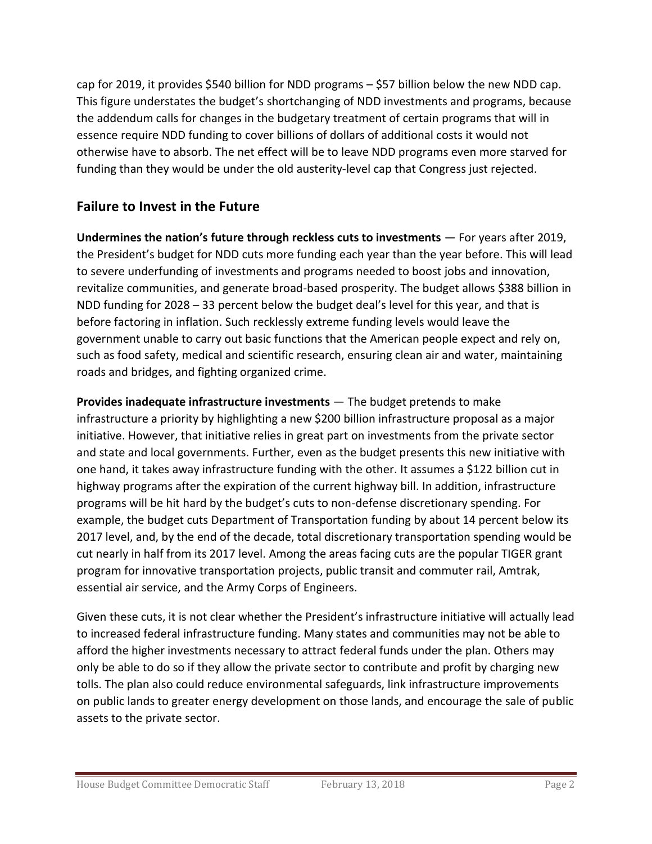cap for 2019, it provides \$540 billion for NDD programs – \$57 billion below the new NDD cap. This figure understates the budget's shortchanging of NDD investments and programs, because the addendum calls for changes in the budgetary treatment of certain programs that will in essence require NDD funding to cover billions of dollars of additional costs it would not otherwise have to absorb. The net effect will be to leave NDD programs even more starved for funding than they would be under the old austerity-level cap that Congress just rejected.

## **Failure to Invest in the Future**

**Undermines the nation's future through reckless cuts to investments** — For years after 2019, the President's budget for NDD cuts more funding each year than the year before. This will lead to severe underfunding of investments and programs needed to boost jobs and innovation, revitalize communities, and generate broad-based prosperity. The budget allows \$388 billion in NDD funding for 2028 – 33 percent below the budget deal's level for this year, and that is before factoring in inflation. Such recklessly extreme funding levels would leave the government unable to carry out basic functions that the American people expect and rely on, such as food safety, medical and scientific research, ensuring clean air and water, maintaining roads and bridges, and fighting organized crime.

**Provides inadequate infrastructure investments** — The budget pretends to make infrastructure a priority by highlighting a new \$200 billion infrastructure proposal as a major initiative. However, that initiative relies in great part on investments from the private sector and state and local governments. Further, even as the budget presents this new initiative with one hand, it takes away infrastructure funding with the other. It assumes a \$122 billion cut in highway programs after the expiration of the current highway bill. In addition, infrastructure programs will be hit hard by the budget's cuts to non-defense discretionary spending. For example, the budget cuts Department of Transportation funding by about 14 percent below its 2017 level, and, by the end of the decade, total discretionary transportation spending would be cut nearly in half from its 2017 level. Among the areas facing cuts are the popular TIGER grant program for innovative transportation projects, public transit and commuter rail, Amtrak, essential air service, and the Army Corps of Engineers.

Given these cuts, it is not clear whether the President's infrastructure initiative will actually lead to increased federal infrastructure funding. Many states and communities may not be able to afford the higher investments necessary to attract federal funds under the plan. Others may only be able to do so if they allow the private sector to contribute and profit by charging new tolls. The plan also could reduce environmental safeguards, link infrastructure improvements on public lands to greater energy development on those lands, and encourage the sale of public assets to the private sector.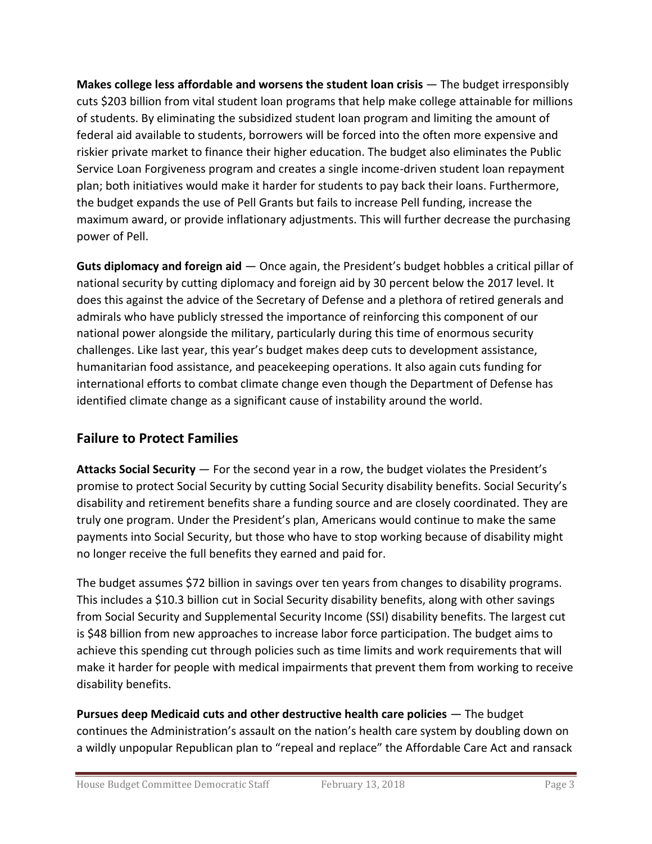**Makes college less affordable and worsens the student loan crisis** — The budget irresponsibly cuts \$203 billion from vital student loan programs that help make college attainable for millions of students. By eliminating the subsidized student loan program and limiting the amount of federal aid available to students, borrowers will be forced into the often more expensive and riskier private market to finance their higher education. The budget also eliminates the Public Service Loan Forgiveness program and creates a single income-driven student loan repayment plan; both initiatives would make it harder for students to pay back their loans. Furthermore, the budget expands the use of Pell Grants but fails to increase Pell funding, increase the maximum award, or provide inflationary adjustments. This will further decrease the purchasing power of Pell.

**Guts diplomacy and foreign aid** — Once again, the President's budget hobbles a critical pillar of national security by cutting diplomacy and foreign aid by 30 percent below the 2017 level. It does this against the advice of the Secretary of Defense and a plethora of retired generals and admirals who have publicly stressed the importance of reinforcing this component of our national power alongside the military, particularly during this time of enormous security challenges. Like last year, this year's budget makes deep cuts to development assistance, humanitarian food assistance, and peacekeeping operations. It also again cuts funding for international efforts to combat climate change even though the Department of Defense has identified climate change as a significant cause of instability around the world.

## **Failure to Protect Families**

**Attacks Social Security** — For the second year in a row, the budget violates the President's promise to protect Social Security by cutting Social Security disability benefits. Social Security's disability and retirement benefits share a funding source and are closely coordinated. They are truly one program. Under the President's plan, Americans would continue to make the same payments into Social Security, but those who have to stop working because of disability might no longer receive the full benefits they earned and paid for.

The budget assumes \$72 billion in savings over ten years from changes to disability programs. This includes a \$10.3 billion cut in Social Security disability benefits, along with other savings from Social Security and Supplemental Security Income (SSI) disability benefits. The largest cut is \$48 billion from new approaches to increase labor force participation. The budget aims to achieve this spending cut through policies such as time limits and work requirements that will make it harder for people with medical impairments that prevent them from working to receive disability benefits.

**Pursues deep Medicaid cuts and other destructive health care policies** — The budget continues the Administration's assault on the nation's health care system by doubling down on a wildly unpopular Republican plan to "repeal and replace" the Affordable Care Act and ransack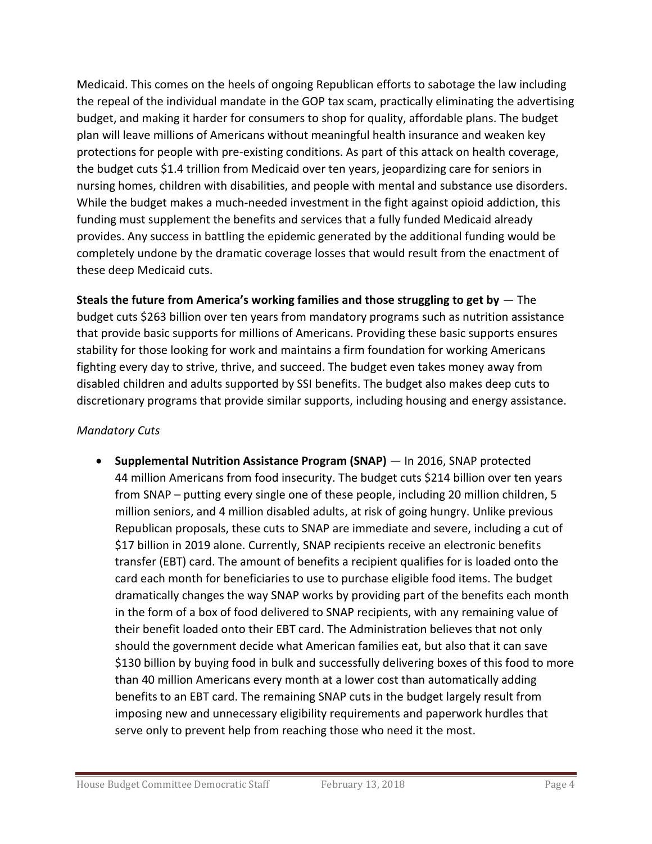Medicaid. This comes on the heels of ongoing Republican efforts to sabotage the law including the repeal of the individual mandate in the GOP tax scam, practically eliminating the advertising budget, and making it harder for consumers to shop for quality, affordable plans. The budget plan will leave millions of Americans without meaningful health insurance and weaken key protections for people with pre-existing conditions. As part of this attack on health coverage, the budget cuts \$1.4 trillion from Medicaid over ten years, jeopardizing care for seniors in nursing homes, children with disabilities, and people with mental and substance use disorders. While the budget makes a much-needed investment in the fight against opioid addiction, this funding must supplement the benefits and services that a fully funded Medicaid already provides. Any success in battling the epidemic generated by the additional funding would be completely undone by the dramatic coverage losses that would result from the enactment of these deep Medicaid cuts.

**Steals the future from America's working families and those struggling to get by** — The budget cuts \$263 billion over ten years from mandatory programs such as nutrition assistance that provide basic supports for millions of Americans. Providing these basic supports ensures stability for those looking for work and maintains a firm foundation for working Americans fighting every day to strive, thrive, and succeed. The budget even takes money away from disabled children and adults supported by SSI benefits. The budget also makes deep cuts to discretionary programs that provide similar supports, including housing and energy assistance.

#### *Mandatory Cuts*

 **Supplemental Nutrition Assistance Program (SNAP)** — In 2016, SNAP protected 44 million Americans from food insecurity. The budget cuts \$214 billion over ten years from SNAP – putting every single one of these people, including 20 million children, 5 million seniors, and 4 million disabled adults, at risk of going hungry. Unlike previous Republican proposals, these cuts to SNAP are immediate and severe, including a cut of \$17 billion in 2019 alone. Currently, SNAP recipients receive an electronic benefits transfer (EBT) card. The amount of benefits a recipient qualifies for is loaded onto the card each month for beneficiaries to use to purchase eligible food items. The budget dramatically changes the way SNAP works by providing part of the benefits each month in the form of a box of food delivered to SNAP recipients, with any remaining value of their benefit loaded onto their EBT card. The Administration believes that not only should the government decide what American families eat, but also that it can save \$130 billion by buying food in bulk and successfully delivering boxes of this food to more than 40 million Americans every month at a lower cost than automatically adding benefits to an EBT card. The remaining SNAP cuts in the budget largely result from imposing new and unnecessary eligibility requirements and paperwork hurdles that serve only to prevent help from reaching those who need it the most.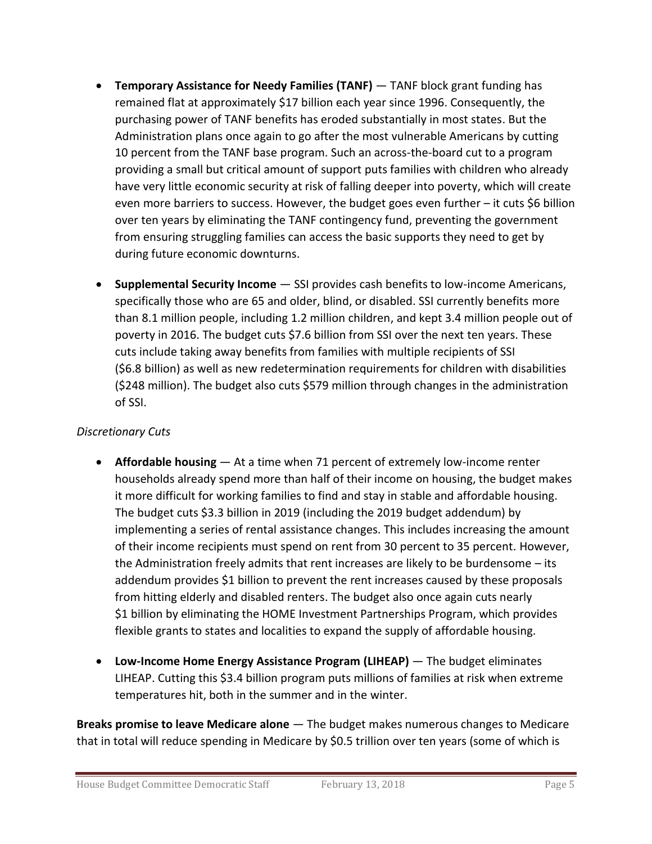- **Temporary Assistance for Needy Families (TANF)** TANF block grant funding has remained flat at approximately \$17 billion each year since 1996. Consequently, the purchasing power of TANF benefits has eroded substantially in most states. But the Administration plans once again to go after the most vulnerable Americans by cutting 10 percent from the TANF base program. Such an across-the-board cut to a program providing a small but critical amount of support puts families with children who already have very little economic security at risk of falling deeper into poverty, which will create even more barriers to success. However, the budget goes even further – it cuts \$6 billion over ten years by eliminating the TANF contingency fund, preventing the government from ensuring struggling families can access the basic supports they need to get by during future economic downturns.
- **Supplemental Security Income** SSI provides cash benefits to low-income Americans, specifically those who are 65 and older, blind, or disabled. SSI currently benefits more than 8.1 million people, including 1.2 million children, and kept 3.4 million people out of poverty in 2016. The budget cuts \$7.6 billion from SSI over the next ten years. These cuts include taking away benefits from families with multiple recipients of SSI (\$6.8 billion) as well as new redetermination requirements for children with disabilities (\$248 million). The budget also cuts \$579 million through changes in the administration of SSI.

#### *Discretionary Cuts*

- **Affordable housing** At a time when 71 percent of extremely low-income renter households already spend more than half of their income on housing, the budget makes it more difficult for working families to find and stay in stable and affordable housing. The budget cuts \$3.3 billion in 2019 (including the 2019 budget addendum) by implementing a series of rental assistance changes. This includes increasing the amount of their income recipients must spend on rent from 30 percent to 35 percent. However, the Administration freely admits that rent increases are likely to be burdensome – its addendum provides \$1 billion to prevent the rent increases caused by these proposals from hitting elderly and disabled renters. The budget also once again cuts nearly \$1 billion by eliminating the HOME Investment Partnerships Program, which provides flexible grants to states and localities to expand the supply of affordable housing.
- **Low-Income Home Energy Assistance Program (LIHEAP)** The budget eliminates LIHEAP. Cutting this \$3.4 billion program puts millions of families at risk when extreme temperatures hit, both in the summer and in the winter.

**Breaks promise to leave Medicare alone** — The budget makes numerous changes to Medicare that in total will reduce spending in Medicare by \$0.5 trillion over ten years (some of which is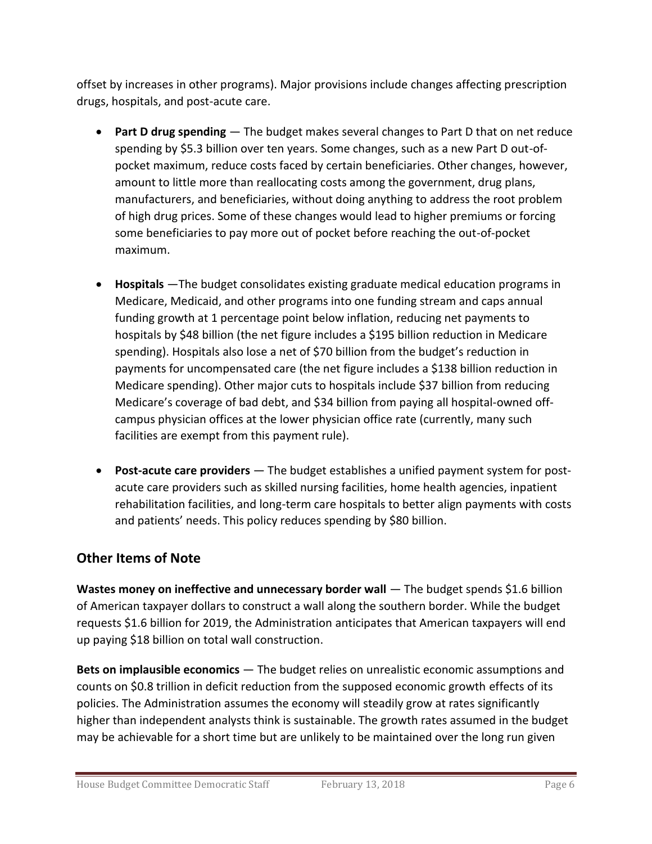offset by increases in other programs). Major provisions include changes affecting prescription drugs, hospitals, and post-acute care.

- **Part D drug spending**  The budget makes several changes to Part D that on net reduce spending by \$5.3 billion over ten years. Some changes, such as a new Part D out-ofpocket maximum, reduce costs faced by certain beneficiaries. Other changes, however, amount to little more than reallocating costs among the government, drug plans, manufacturers, and beneficiaries, without doing anything to address the root problem of high drug prices. Some of these changes would lead to higher premiums or forcing some beneficiaries to pay more out of pocket before reaching the out-of-pocket maximum.
- **Hospitals** —The budget consolidates existing graduate medical education programs in Medicare, Medicaid, and other programs into one funding stream and caps annual funding growth at 1 percentage point below inflation, reducing net payments to hospitals by \$48 billion (the net figure includes a \$195 billion reduction in Medicare spending). Hospitals also lose a net of \$70 billion from the budget's reduction in payments for uncompensated care (the net figure includes a \$138 billion reduction in Medicare spending). Other major cuts to hospitals include \$37 billion from reducing Medicare's coverage of bad debt, and \$34 billion from paying all hospital-owned offcampus physician offices at the lower physician office rate (currently, many such facilities are exempt from this payment rule).
- **Post-acute care providers** The budget establishes a unified payment system for postacute care providers such as skilled nursing facilities, home health agencies, inpatient rehabilitation facilities, and long-term care hospitals to better align payments with costs and patients' needs. This policy reduces spending by \$80 billion.

## **Other Items of Note**

**Wastes money on ineffective and unnecessary border wall** — The budget spends \$1.6 billion of American taxpayer dollars to construct a wall along the southern border. While the budget requests \$1.6 billion for 2019, the Administration anticipates that American taxpayers will end up paying \$18 billion on total wall construction.

**Bets on implausible economics** — The budget relies on unrealistic economic assumptions and counts on \$0.8 trillion in deficit reduction from the supposed economic growth effects of its policies. The Administration assumes the economy will steadily grow at rates significantly higher than independent analysts think is sustainable. The growth rates assumed in the budget may be achievable for a short time but are unlikely to be maintained over the long run given